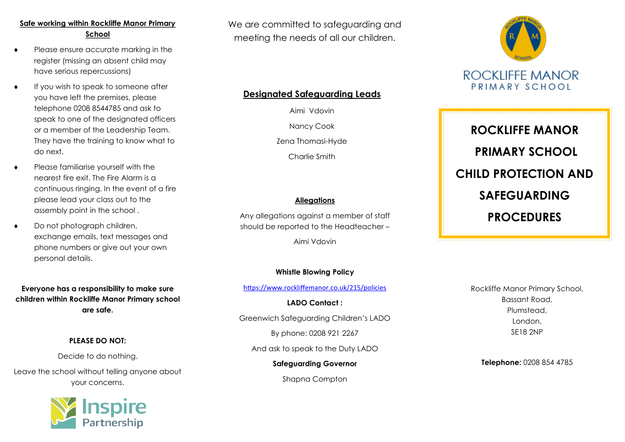# **Safe working within Rockliffe Manor Primary School**

- Please ensure accurate marking in the register (missing an absent child may have serious repercussions)
- **If you wish to speak to someone after** you have left the premises, please telephone 0208 8544785 and ask to speak to one of the designated officers or a member of the Leadership Team. They have the training to know what to do next.
- Please familiarise yourself with the nearest fire exit. The Fire Alarm is a continuous ringing. In the event of a fire please lead your class out to the assembly point in the school .
- Do not photograph children, exchange emails, text messages and phone numbers or give out your own personal details.

**Everyone has a responsibility to make sure children within Rockliffe Manor Primary school are safe.**

## **PLEASE DO NOT:**

Decide to do nothing. Leave the school without telling anyone about

your concerns.



We are committed to safeguarding and meeting the needs of all our children.

# **Designated Safeguarding Leads**

Aimi Vdovin Nancy Cook

Zena Thomasi-Hyde

Charlie Smith

# **Allegations**

Any allegations against a member of staff should be reported to the Headteacher –

Aimi Vdovin

# **Whistle Blowing Policy**

<https://www.rockliffemanor.co.uk/215/policies>

**LADO Contact :**  Greenwich Safeguarding Children's LADO By phone: 0208 921 2267

And ask to speak to the Duty LADO

**Safeguarding Governor** 

Shapna Compton



**ROCKLIFFE MANOR PRIMARY SCHOOL CHILD PROTECTION AND SAFEGUARDING PROCEDURES**

> Rockliffe Manor Primary School, Bassant Road, Plumstead, London, SE18 2NP

**Telephone:** 0208 854 4785